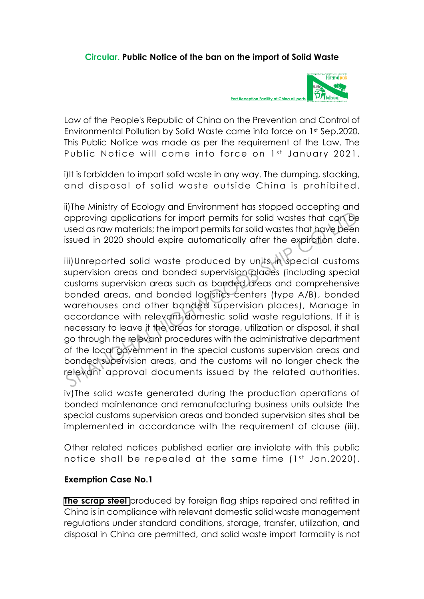## **Circular. Public Notice of the ban on the import of Solid Waste**



Law of the People's Republic of China on the Prevention and Control of Environmental Pollution by Solid Waste came into force on 1st Sep.2020. This Public Notice was made as per the requirement of the Law. The Public Notice will come into force on 1st January 2021.

i)It is forbidden to import solid waste in any way. The dumping, stacking, and disposal of solid waste outside China is prohibited.

ii)The Ministry of Ecology and Environment has stopped accepting and approving applications for import permits for solid wastes that can be used as raw materials; the import permits for solid wastes that have been issued in 2020 should expire automatically after the expiration date.

iii)Unreported solid waste produced by units in special customs supervision areas and bonded supervision places (including special customs supervision areas such as bonded areas and comprehensive bonded areas, and bonded logistics centers (type A/B), bonded warehouses and other bonded supervision places), Manage in accordance with relevant domestic solid waste regulations. If it is necessary to leave it the areas for storage, utilization or disposal, it shall go through the relevant procedures with the administrative department of the local government in the special customs supervision areas and bonded supervision areas, and the customs will no longer check the relevant approval documents issued by the related authorities. approving applications for import permits for solid wastes that can be<br>used as raw materials; the import permits for solid wastes that have been<br>issued in 2020 should expire automatically after the expiration date<br>iii)Unre

iv)The solid waste generated during the production operations of bonded maintenance and remanufacturing business units outside the special customs supervision areas and bonded supervision sites shall be implemented in accordance with the requirement of clause (iii).

Other related notices published earlier are inviolate with this public notice shall be repealed at the same time  $(1^{st}$  Jan.2020).

## **Exemption Case No.1**

**[The scrap steel](http://www.shorefacility.com/Recycled.pdf)** produced by foreign flag ships repaired and refitted in China is in compliance with relevant domestic solid waste management regulations under standard conditions, storage, transfer, utilization, and disposal in China are permitted, and solid waste import formality is not